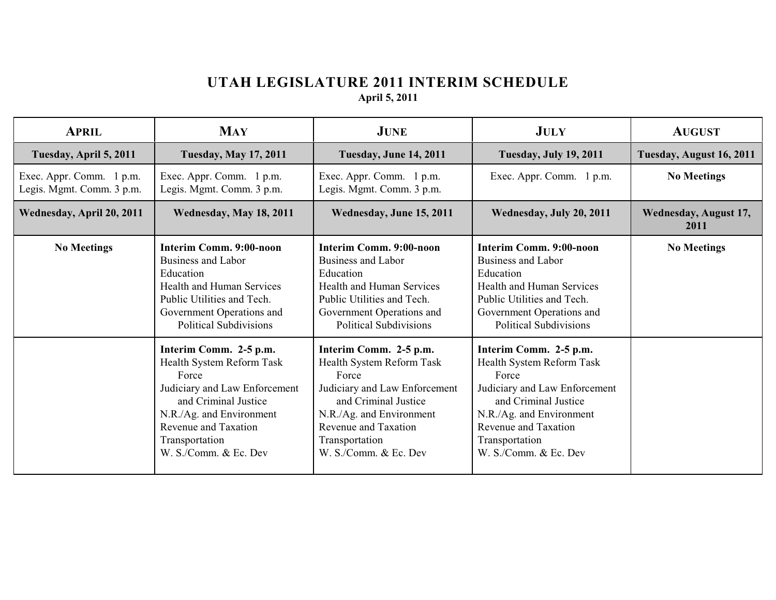## **UTAH LEGISLATURE 2011 INTERIM SCHEDULE April 5, 2011**

| <b>APRIL</b>                                          | <b>MAY</b>                                                                                                                                                                                                           | <b>JUNE</b>                                                                                                                                                                                                          | <b>JULY</b>                                                                                                                                                                                                          | <b>AUGUST</b>                 |
|-------------------------------------------------------|----------------------------------------------------------------------------------------------------------------------------------------------------------------------------------------------------------------------|----------------------------------------------------------------------------------------------------------------------------------------------------------------------------------------------------------------------|----------------------------------------------------------------------------------------------------------------------------------------------------------------------------------------------------------------------|-------------------------------|
| Tuesday, April 5, 2011                                | <b>Tuesday, May 17, 2011</b>                                                                                                                                                                                         | Tuesday, June 14, 2011                                                                                                                                                                                               | Tuesday, July 19, 2011                                                                                                                                                                                               | Tuesday, August 16, 2011      |
| Exec. Appr. Comm. 1 p.m.<br>Legis. Mgmt. Comm. 3 p.m. | Exec. Appr. Comm. 1 p.m.<br>Legis. Mgmt. Comm. 3 p.m.                                                                                                                                                                | Exec. Appr. Comm. 1 p.m.<br>Legis. Mgmt. Comm. 3 p.m.                                                                                                                                                                | Exec. Appr. Comm. 1 p.m.                                                                                                                                                                                             | <b>No Meetings</b>            |
| Wednesday, April 20, 2011                             | Wednesday, May 18, 2011                                                                                                                                                                                              | Wednesday, June 15, 2011                                                                                                                                                                                             | Wednesday, July 20, 2011                                                                                                                                                                                             | Wednesday, August 17,<br>2011 |
| <b>No Meetings</b>                                    | Interim Comm. 9:00-noon<br><b>Business and Labor</b><br>Education<br><b>Health and Human Services</b><br>Public Utilities and Tech.<br>Government Operations and<br><b>Political Subdivisions</b>                    | Interim Comm. 9:00-noon<br>Business and Labor<br>Education<br><b>Health and Human Services</b><br>Public Utilities and Tech.<br>Government Operations and<br><b>Political Subdivisions</b>                           | Interim Comm. 9:00-noon<br><b>Business and Labor</b><br>Education<br><b>Health and Human Services</b><br>Public Utilities and Tech.<br>Government Operations and<br><b>Political Subdivisions</b>                    | <b>No Meetings</b>            |
|                                                       | Interim Comm. 2-5 p.m.<br>Health System Reform Task<br>Force<br>Judiciary and Law Enforcement<br>and Criminal Justice<br>N.R./Ag. and Environment<br>Revenue and Taxation<br>Transportation<br>W. S./Comm. & Ec. Dev | Interim Comm. 2-5 p.m.<br>Health System Reform Task<br>Force<br>Judiciary and Law Enforcement<br>and Criminal Justice<br>N.R./Ag. and Environment<br>Revenue and Taxation<br>Transportation<br>W. S./Comm. & Ec. Dev | Interim Comm. 2-5 p.m.<br>Health System Reform Task<br>Force<br>Judiciary and Law Enforcement<br>and Criminal Justice<br>N.R./Ag. and Environment<br>Revenue and Taxation<br>Transportation<br>W. S./Comm. & Ec. Dev |                               |